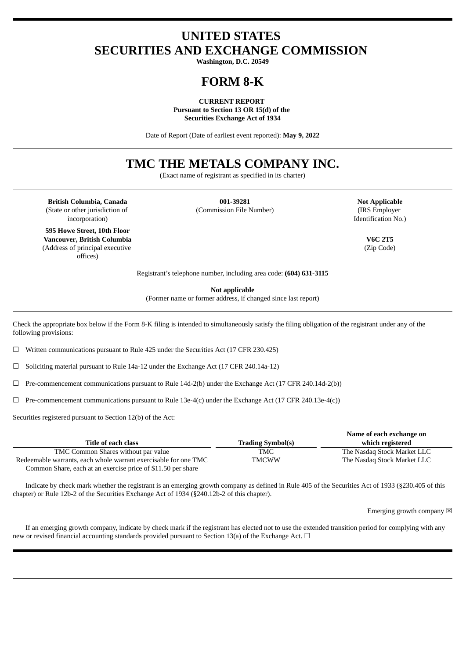# **UNITED STATES SECURITIES AND EXCHANGE COMMISSION**

**Washington, D.C. 20549**

# **FORM 8-K**

**CURRENT REPORT Pursuant to Section 13 OR 15(d) of the Securities Exchange Act of 1934**

Date of Report (Date of earliest event reported): **May 9, 2022**

# **TMC THE METALS COMPANY INC.**

(Exact name of registrant as specified in its charter)

**British Columbia, Canada 001-39281 Not Applicable** (State or other jurisdiction of incorporation)

**595 Howe Street, 10th Floor Vancouver, British Columbia V6C 2T5** (Address of principal executive offices)

(Commission File Number) (IRS Employer

Identification No.)

(Zip Code)

Registrant's telephone number, including area code: **(604) 631-3115**

**Not applicable**

(Former name or former address, if changed since last report)

Check the appropriate box below if the Form 8-K filing is intended to simultaneously satisfy the filing obligation of the registrant under any of the following provisions:

☐ Written communications pursuant to Rule 425 under the Securities Act (17 CFR 230.425)

☐ Soliciting material pursuant to Rule 14a-12 under the Exchange Act (17 CFR 240.14a-12)

 $\Box$  Pre-commencement communications pursuant to Rule 14d-2(b) under the Exchange Act (17 CFR 240.14d-2(b))

 $\Box$  Pre-commencement communications pursuant to Rule 13e-4(c) under the Exchange Act (17 CFR 240.13e-4(c))

Securities registered pursuant to Section 12(b) of the Act:

|                                                                 |                          | Name of each exchange on    |
|-----------------------------------------------------------------|--------------------------|-----------------------------|
| Title of each class                                             | <b>Trading Symbol(s)</b> | which registered            |
| TMC Common Shares without par value                             | TMC                      | The Nasdag Stock Market LLC |
| Redeemable warrants, each whole warrant exercisable for one TMC | <b>TMCWW</b>             | The Nasdag Stock Market LLC |
| Common Share, each at an exercise price of \$11.50 per share    |                          |                             |

Indicate by check mark whether the registrant is an emerging growth company as defined in Rule 405 of the Securities Act of 1933 (§230.405 of this chapter) or Rule 12b-2 of the Securities Exchange Act of 1934 (§240.12b-2 of this chapter).

Emerging growth company  $\boxtimes$ 

If an emerging growth company, indicate by check mark if the registrant has elected not to use the extended transition period for complying with any new or revised financial accounting standards provided pursuant to Section 13(a) of the Exchange Act.  $\Box$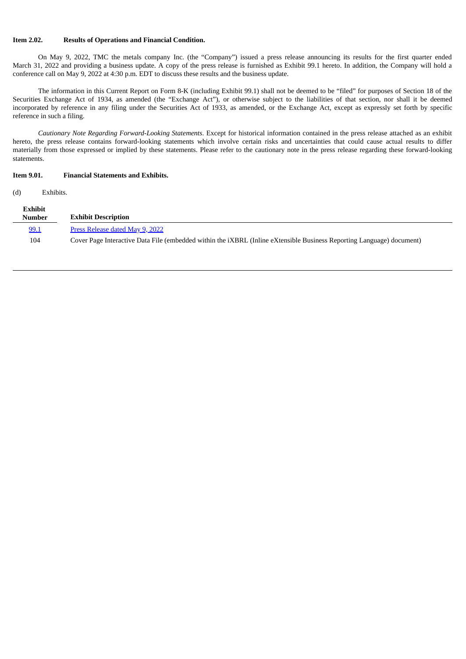### **Item 2.02. Results of Operations and Financial Condition.**

On May 9, 2022, TMC the metals company Inc. (the "Company") issued a press release announcing its results for the first quarter ended March 31, 2022 and providing a business update. A copy of the press release is furnished as Exhibit 99.1 hereto. In addition, the Company will hold a conference call on May 9, 2022 at 4:30 p.m. EDT to discuss these results and the business update.

The information in this Current Report on Form 8-K (including Exhibit 99.1) shall not be deemed to be "filed" for purposes of Section 18 of the Securities Exchange Act of 1934, as amended (the "Exchange Act"), or otherwise subject to the liabilities of that section, nor shall it be deemed incorporated by reference in any filing under the Securities Act of 1933, as amended, or the Exchange Act, except as expressly set forth by specific reference in such a filing.

*Cautionary Note Regarding Forward-Looking Statements*. Except for historical information contained in the press release attached as an exhibit hereto, the press release contains forward-looking statements which involve certain risks and uncertainties that could cause actual results to differ materially from those expressed or implied by these statements. Please refer to the cautionary note in the press release regarding these forward-looking statements.

#### **Item 9.01. Financial Statements and Exhibits.**

(d) Exhibits.

| Exhibit<br><b>Number</b> | <b>Exhibit Description</b>                                                                                                   |
|--------------------------|------------------------------------------------------------------------------------------------------------------------------|
| 99.1                     | Press Release dated May 9, 2022                                                                                              |
| 104                      | Cover Page Interactive Data File (embedded within the <i>iXBRL</i> (Inline eXtensible Business Reporting Language) document) |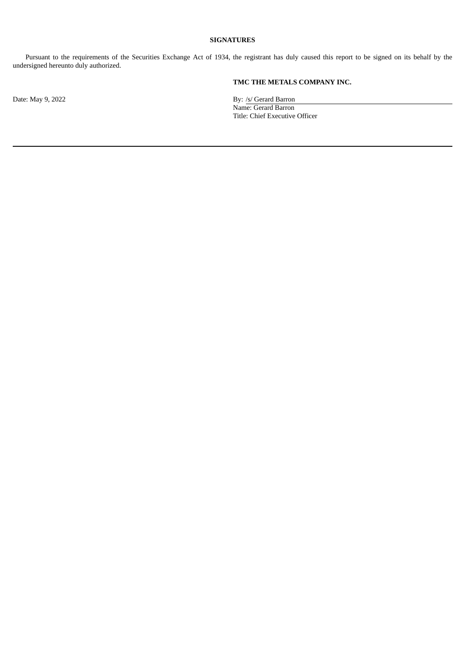# **SIGNATURES**

Pursuant to the requirements of the Securities Exchange Act of 1934, the registrant has duly caused this report to be signed on its behalf by the undersigned hereunto duly authorized.

# **TMC THE METALS COMPANY INC.**

Date: May 9, 2022 By: /s/ Gerard Barron Name: Gerard Barron Title: Chief Executive Officer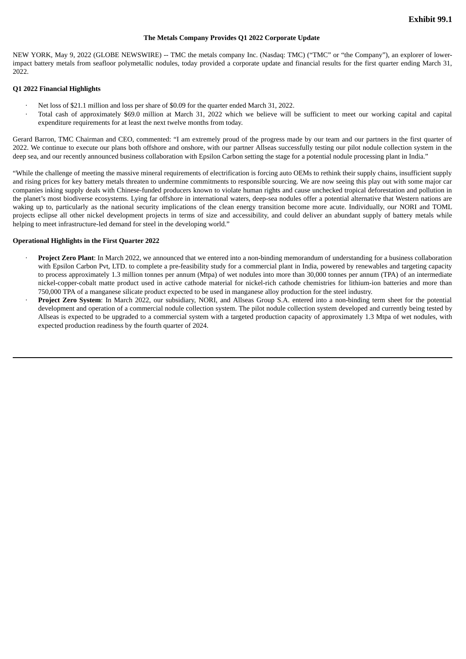#### **The Metals Company Provides Q1 2022 Corporate Update**

<span id="page-3-0"></span>NEW YORK, May 9, 2022 (GLOBE NEWSWIRE) -- TMC the metals company Inc. (Nasdaq: TMC) ("TMC" or "the Company"), an explorer of lowerimpact battery metals from seafloor polymetallic nodules, today provided a corporate update and financial results for the first quarter ending March 31, 2022

#### **Q1 2022 Financial Highlights**

- · Net loss of \$21.1 million and loss per share of \$0.09 for the quarter ended March 31, 2022.
- · Total cash of approximately \$69.0 million at March 31, 2022 which we believe will be sufficient to meet our working capital and capital expenditure requirements for at least the next twelve months from today.

Gerard Barron, TMC Chairman and CEO, commented: "I am extremely proud of the progress made by our team and our partners in the first quarter of 2022. We continue to execute our plans both offshore and onshore, with our partner Allseas successfully testing our pilot nodule collection system in the deep sea, and our recently announced business collaboration with Epsilon Carbon setting the stage for a potential nodule processing plant in India."

"While the challenge of meeting the massive mineral requirements of electrification is forcing auto OEMs to rethink their supply chains, insufficient supply and rising prices for key battery metals threaten to undermine commitments to responsible sourcing. We are now seeing this play out with some major car companies inking supply deals with Chinese-funded producers known to violate human rights and cause unchecked tropical deforestation and pollution in the planet's most biodiverse ecosystems. Lying far offshore in international waters, deep-sea nodules offer a potential alternative that Western nations are waking up to, particularly as the national security implications of the clean energy transition become more acute. Individually, our NORI and TOML projects eclipse all other nickel development projects in terms of size and accessibility, and could deliver an abundant supply of battery metals while helping to meet infrastructure-led demand for steel in the developing world."

#### **Operational Highlights in the First Quarter 2022**

- · **Project Zero Plant**: In March 2022, we announced that we entered into a non-binding memorandum of understanding for a business collaboration with Epsilon Carbon Pvt, LTD. to complete a pre-feasibility study for a commercial plant in India, powered by renewables and targeting capacity to process approximately 1.3 million tonnes per annum (Mtpa) of wet nodules into more than 30,000 tonnes per annum (TPA) of an intermediate nickel-copper-cobalt matte product used in active cathode material for nickel-rich cathode chemistries for lithium-ion batteries and more than 750,000 TPA of a manganese silicate product expected to be used in manganese alloy production for the steel industry.
- · **Project Zero System**: In March 2022, our subsidiary, NORI, and Allseas Group S.A. entered into a non-binding term sheet for the potential development and operation of a commercial nodule collection system. The pilot nodule collection system developed and currently being tested by Allseas is expected to be upgraded to a commercial system with a targeted production capacity of approximately 1.3 Mtpa of wet nodules, with expected production readiness by the fourth quarter of 2024.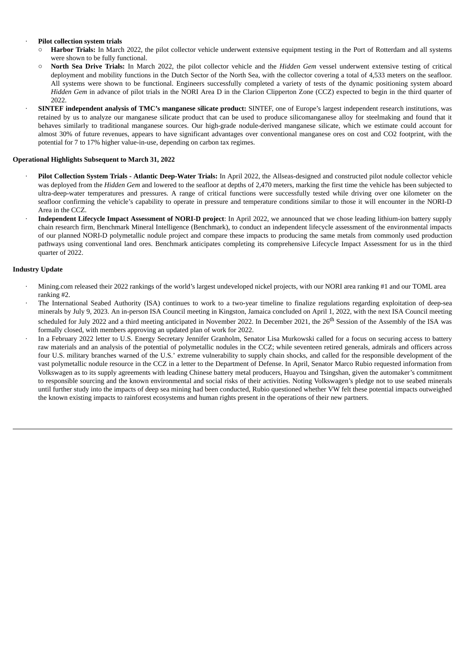### · **Pilot collection system trials**

- Harbor Trials: In March 2022, the pilot collector vehicle underwent extensive equipment testing in the Port of Rotterdam and all systems were shown to be fully functional.
- **North Sea Drive Trials:** In March 2022, the pilot collector vehicle and the *Hidden Gem* vessel underwent extensive testing of critical deployment and mobility functions in the Dutch Sector of the North Sea, with the collector covering a total of 4,533 meters on the seafloor. All systems were shown to be functional. Engineers successfully completed a variety of tests of the dynamic positioning system aboard *Hidden Gem* in advance of pilot trials in the NORI Area D in the Clarion Clipperton Zone (CCZ) expected to begin in the third quarter of 2022.
- · **SINTEF independent analysis of TMC's manganese silicate product:** SINTEF, one of Europe's largest independent research institutions, was retained by us to analyze our manganese silicate product that can be used to produce silicomanganese alloy for steelmaking and found that it behaves similarly to traditional manganese sources. Our high-grade nodule-derived manganese silicate, which we estimate could account for almost 30% of future revenues, appears to have significant advantages over conventional manganese ores on cost and CO2 footprint, with the potential for 7 to 17% higher value-in-use, depending on carbon tax regimes.

## **Operational Highlights Subsequent to March 31, 2022**

- · **Pilot Collection System Trials - Atlantic Deep-Water Trials:** In April 2022, the Allseas-designed and constructed pilot nodule collector vehicle was deployed from the *Hidden Gem* and lowered to the seafloor at depths of 2,470 meters, marking the first time the vehicle has been subjected to ultra-deep-water temperatures and pressures. A range of critical functions were successfully tested while driving over one kilometer on the seafloor confirming the vehicle's capability to operate in pressure and temperature conditions similar to those it will encounter in the NORI-D Area in the CCZ.
- · **Independent Lifecycle Impact Assessment of NORI-D project**: In April 2022, we announced that we chose leading lithium-ion battery supply chain research firm, Benchmark Mineral Intelligence (Benchmark), to conduct an independent lifecycle assessment of the environmental impacts of our planned NORI-D polymetallic nodule project and compare these impacts to producing the same metals from commonly used production pathways using conventional land ores. Benchmark anticipates completing its comprehensive Lifecycle Impact Assessment for us in the third quarter of 2022.

### **Industry Update**

- · Mining.com released their 2022 rankings of the world's largest undeveloped nickel projects, with our NORI area ranking #1 and our TOML area ranking #2.
- The International Seabed Authority (ISA) continues to work to a two-year timeline to finalize regulations regarding exploitation of deep-sea minerals by July 9, 2023. An in-person ISA Council meeting in Kingston, Jamaica concluded on April 1, 2022, with the next ISA Council meeting scheduled for July 2022 and a third meeting anticipated in November 2022. In December 2021, the 26<sup>th</sup> Session of the Assembly of the ISA was formally closed, with members approving an updated plan of work for 2022.
- In a February 2022 letter to U.S. Energy Secretary Jennifer Granholm, Senator Lisa Murkowski called for a focus on securing access to battery raw materials and an analysis of the potential of polymetallic nodules in the CCZ; while seventeen retired generals, admirals and officers across four U.S. military branches warned of the U.S.' extreme vulnerability to supply chain shocks, and called for the responsible development of the vast polymetallic nodule resource in the CCZ in a letter to the Department of Defense. In April, Senator Marco Rubio requested information from Volkswagen as to its supply agreements with leading Chinese battery metal producers, Huayou and Tsingshan, given the automaker's commitment to responsible sourcing and the known environmental and social risks of their activities. Noting Volkswagen's pledge not to use seabed minerals until further study into the impacts of deep sea mining had been conducted, Rubio questioned whether VW felt these potential impacts outweighed the known existing impacts to rainforest ecosystems and human rights present in the operations of their new partners.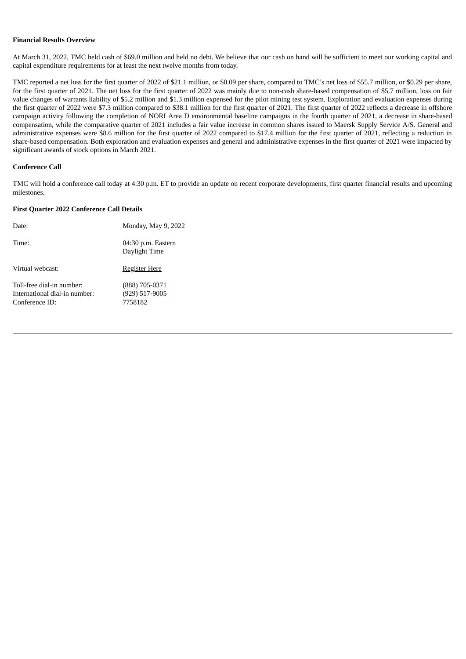#### **Financial Results Overview**

At March 31, 2022, TMC held cash of \$69.0 million and held no debt. We believe that our cash on hand will be sufficient to meet our working capital and capital expenditure requirements for at least the next twelve months from today.

TMC reported a net loss for the first quarter of 2022 of \$21.1 million, or \$0.09 per share, compared to TMC's net loss of \$55.7 million, or \$0.29 per share, for the first quarter of 2021. The net loss for the first quarter of 2022 was mainly due to non-cash share-based compensation of \$5.7 million, loss on fair value changes of warrants liability of \$5.2 million and \$1.3 million expensed for the pilot mining test system. Exploration and evaluation expenses during the first quarter of 2022 were \$7.3 million compared to \$38.1 million for the first quarter of 2021. The first quarter of 2022 reflects a decrease in offshore campaign activity following the completion of NORI Area D environmental baseline campaigns in the fourth quarter of 2021, a decrease in share-based compensation, while the comparative quarter of 2021 includes a fair value increase in common shares issued to Maersk Supply Service A/S. General and administrative expenses were \$8.6 million for the first quarter of 2022 compared to \$17.4 million for the first quarter of 2021, reflecting a reduction in share-based compensation. Both exploration and evaluation expenses and general and administrative expenses in the first quarter of 2021 were impacted by significant awards of stock options in March 2021.

### **Conference Call**

TMC will hold a conference call today at 4:30 p.m. ET to provide an update on recent corporate developments, first quarter financial results and upcoming milestones.

## **First Quarter 2022 Conference Call Details**

| Date:                                                                        | Monday, May 9, 2022                         |
|------------------------------------------------------------------------------|---------------------------------------------|
| Time:                                                                        | 04:30 p.m. Eastern<br>Daylight Time         |
| Virtual webcast:                                                             | <u>Register Here</u>                        |
| Toll-free dial-in number:<br>International dial-in number:<br>Conference ID: | (888) 705-0371<br>(929) 517-9005<br>7758182 |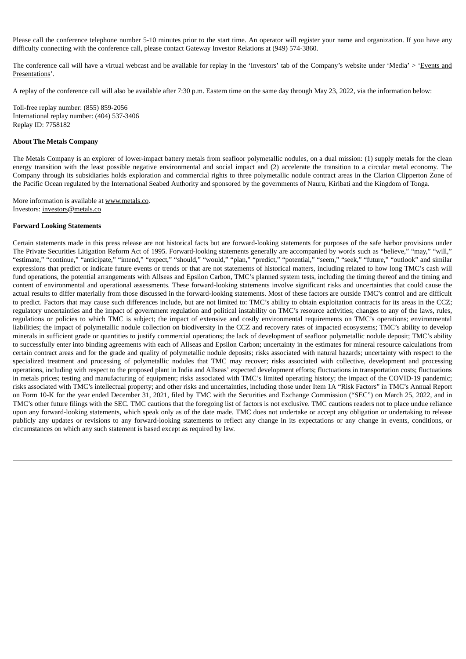Please call the conference telephone number 5-10 minutes prior to the start time. An operator will register your name and organization. If you have any difficulty connecting with the conference call, please contact Gateway Investor Relations at (949) 574-3860.

The conference call will have a virtual webcast and be available for replay in the 'Investors' tab of the Company's website under 'Media' > 'Events and Presentations'.

A replay of the conference call will also be available after 7:30 p.m. Eastern time on the same day through May 23, 2022, via the information below:

Toll-free replay number: (855) 859-2056 International replay number: (404) 537-3406 Replay ID: 7758182

### **About The Metals Company**

The Metals Company is an explorer of lower-impact battery metals from seafloor polymetallic nodules, on a dual mission: (1) supply metals for the clean energy transition with the least possible negative environmental and social impact and (2) accelerate the transition to a circular metal economy. The Company through its subsidiaries holds exploration and commercial rights to three polymetallic nodule contract areas in the Clarion Clipperton Zone of the Pacific Ocean regulated by the International Seabed Authority and sponsored by the governments of Nauru, Kiribati and the Kingdom of Tonga.

More information is available at www.metals.co. Investors: investors@metals.co

#### **Forward Looking Statements**

Certain statements made in this press release are not historical facts but are forward-looking statements for purposes of the safe harbor provisions under The Private Securities Litigation Reform Act of 1995. Forward-looking statements generally are accompanied by words such as "believe," "may," "will," "estimate," "continue," "anticipate," "intend," "expect," "should," "would," "plan," "predict," "potential," "seem," "seek," "future," "outlook" and similar expressions that predict or indicate future events or trends or that are not statements of historical matters, including related to how long TMC's cash will fund operations, the potential arrangements with Allseas and Epsilon Carbon, TMC's planned system tests, including the timing thereof and the timing and content of environmental and operational assessments. These forward-looking statements involve significant risks and uncertainties that could cause the actual results to differ materially from those discussed in the forward-looking statements. Most of these factors are outside TMC's control and are difficult to predict. Factors that may cause such differences include, but are not limited to: TMC's ability to obtain exploitation contracts for its areas in the CCZ; regulatory uncertainties and the impact of government regulation and political instability on TMC's resource activities; changes to any of the laws, rules, regulations or policies to which TMC is subject; the impact of extensive and costly environmental requirements on TMC's operations; environmental liabilities; the impact of polymetallic nodule collection on biodiversity in the CCZ and recovery rates of impacted ecosystems; TMC's ability to develop minerals in sufficient grade or quantities to justify commercial operations; the lack of development of seafloor polymetallic nodule deposit; TMC's ability to successfully enter into binding agreements with each of Allseas and Epsilon Carbon; uncertainty in the estimates for mineral resource calculations from certain contract areas and for the grade and quality of polymetallic nodule deposits; risks associated with natural hazards; uncertainty with respect to the specialized treatment and processing of polymetallic nodules that TMC may recover; risks associated with collective, development and processing operations, including with respect to the proposed plant in India and Allseas' expected development efforts; fluctuations in transportation costs; fluctuations in metals prices; testing and manufacturing of equipment; risks associated with TMC's limited operating history; the impact of the COVID-19 pandemic; risks associated with TMC's intellectual property; and other risks and uncertainties, including those under Item 1A "Risk Factors" in TMC's Annual Report on Form 10-K for the year ended December 31, 2021, filed by TMC with the Securities and Exchange Commission ("SEC") on March 25, 2022, and in TMC's other future filings with the SEC. TMC cautions that the foregoing list of factors is not exclusive. TMC cautions readers not to place undue reliance upon any forward-looking statements, which speak only as of the date made. TMC does not undertake or accept any obligation or undertaking to release publicly any updates or revisions to any forward-looking statements to reflect any change in its expectations or any change in events, conditions, or circumstances on which any such statement is based except as required by law.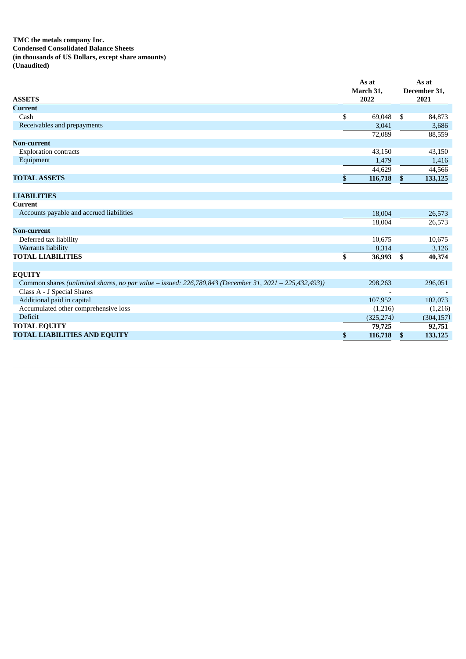**TMC the metals company Inc. Condensed Consolidated Balance Sheets (in thousands of US Dollars, except share amounts) (Unaudited)**

| <b>Current</b><br>\$<br>69,048<br>\$<br>84,873<br>Cash<br>Receivables and prepayments<br>3,041<br>3,686<br>88,559<br>72,089<br><b>Non-current</b><br><b>Exploration contracts</b><br>43,150<br>43,150<br>Equipment<br>1,479<br>1,416<br>44,629<br>44,566<br><b>TOTAL ASSETS</b><br>\$<br>116,718<br>$\mathbf{s}$<br>133,125<br><b>LIABILITIES</b><br><b>Current</b><br>Accounts payable and accrued liabilities<br>18,004<br>18,004<br><b>Non-current</b><br>Deferred tax liability<br>10,675<br>Warrants liability<br>8,314<br><b>TOTAL LIABILITIES</b><br>\$<br>\$<br>36,993<br><b>EQUITY</b><br>Common shares (unlimited shares, no par value – issued: 226,780,843 (December 31, 2021 – 225,432,493))<br>298,263<br>Class A - J Special Shares<br>Additional paid in capital<br>107,952 | <b>ASSETS</b> | As at<br>March 31,<br>2022 | As at<br>December 31,<br>2021 |
|---------------------------------------------------------------------------------------------------------------------------------------------------------------------------------------------------------------------------------------------------------------------------------------------------------------------------------------------------------------------------------------------------------------------------------------------------------------------------------------------------------------------------------------------------------------------------------------------------------------------------------------------------------------------------------------------------------------------------------------------------------------------------------------------|---------------|----------------------------|-------------------------------|
|                                                                                                                                                                                                                                                                                                                                                                                                                                                                                                                                                                                                                                                                                                                                                                                             |               |                            |                               |
|                                                                                                                                                                                                                                                                                                                                                                                                                                                                                                                                                                                                                                                                                                                                                                                             |               |                            |                               |
|                                                                                                                                                                                                                                                                                                                                                                                                                                                                                                                                                                                                                                                                                                                                                                                             |               |                            |                               |
|                                                                                                                                                                                                                                                                                                                                                                                                                                                                                                                                                                                                                                                                                                                                                                                             |               |                            |                               |
|                                                                                                                                                                                                                                                                                                                                                                                                                                                                                                                                                                                                                                                                                                                                                                                             |               |                            |                               |
|                                                                                                                                                                                                                                                                                                                                                                                                                                                                                                                                                                                                                                                                                                                                                                                             |               |                            |                               |
|                                                                                                                                                                                                                                                                                                                                                                                                                                                                                                                                                                                                                                                                                                                                                                                             |               |                            |                               |
|                                                                                                                                                                                                                                                                                                                                                                                                                                                                                                                                                                                                                                                                                                                                                                                             |               |                            |                               |
|                                                                                                                                                                                                                                                                                                                                                                                                                                                                                                                                                                                                                                                                                                                                                                                             |               |                            |                               |
|                                                                                                                                                                                                                                                                                                                                                                                                                                                                                                                                                                                                                                                                                                                                                                                             |               |                            |                               |
|                                                                                                                                                                                                                                                                                                                                                                                                                                                                                                                                                                                                                                                                                                                                                                                             |               |                            |                               |
|                                                                                                                                                                                                                                                                                                                                                                                                                                                                                                                                                                                                                                                                                                                                                                                             |               |                            |                               |
|                                                                                                                                                                                                                                                                                                                                                                                                                                                                                                                                                                                                                                                                                                                                                                                             |               |                            |                               |
|                                                                                                                                                                                                                                                                                                                                                                                                                                                                                                                                                                                                                                                                                                                                                                                             |               |                            | 26,573                        |
|                                                                                                                                                                                                                                                                                                                                                                                                                                                                                                                                                                                                                                                                                                                                                                                             |               |                            | 26,573                        |
|                                                                                                                                                                                                                                                                                                                                                                                                                                                                                                                                                                                                                                                                                                                                                                                             |               |                            |                               |
|                                                                                                                                                                                                                                                                                                                                                                                                                                                                                                                                                                                                                                                                                                                                                                                             |               |                            | 10,675                        |
|                                                                                                                                                                                                                                                                                                                                                                                                                                                                                                                                                                                                                                                                                                                                                                                             |               |                            | 3,126                         |
|                                                                                                                                                                                                                                                                                                                                                                                                                                                                                                                                                                                                                                                                                                                                                                                             |               |                            | 40,374                        |
|                                                                                                                                                                                                                                                                                                                                                                                                                                                                                                                                                                                                                                                                                                                                                                                             |               |                            |                               |
|                                                                                                                                                                                                                                                                                                                                                                                                                                                                                                                                                                                                                                                                                                                                                                                             |               |                            |                               |
|                                                                                                                                                                                                                                                                                                                                                                                                                                                                                                                                                                                                                                                                                                                                                                                             |               |                            | 296,051                       |
|                                                                                                                                                                                                                                                                                                                                                                                                                                                                                                                                                                                                                                                                                                                                                                                             |               |                            |                               |
|                                                                                                                                                                                                                                                                                                                                                                                                                                                                                                                                                                                                                                                                                                                                                                                             |               |                            | 102,073                       |
| Accumulated other comprehensive loss<br>(1,216)                                                                                                                                                                                                                                                                                                                                                                                                                                                                                                                                                                                                                                                                                                                                             |               |                            | (1,216)                       |
| <b>Deficit</b><br>(325, 274)                                                                                                                                                                                                                                                                                                                                                                                                                                                                                                                                                                                                                                                                                                                                                                |               |                            | (304, 157)                    |
| <b>TOTAL EQUITY</b><br>79,725                                                                                                                                                                                                                                                                                                                                                                                                                                                                                                                                                                                                                                                                                                                                                               |               |                            | 92,751                        |
| <b>TOTAL LIABILITIES AND EQUITY</b><br>\$<br>116,718<br>$\mathbf{s}$                                                                                                                                                                                                                                                                                                                                                                                                                                                                                                                                                                                                                                                                                                                        |               |                            | 133,125                       |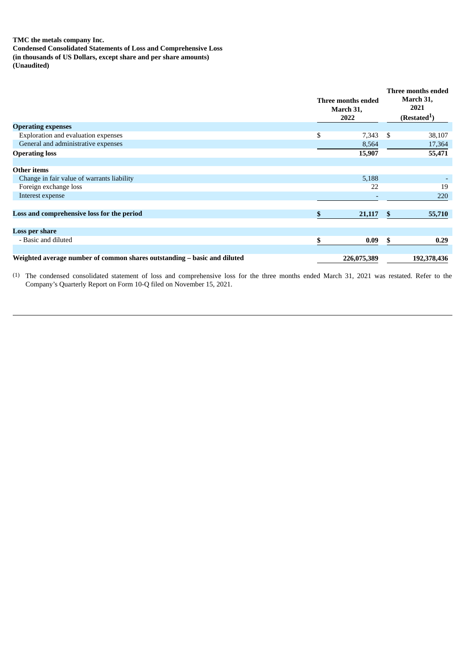## **TMC the metals company Inc.**

**Condensed Consolidated Statements of Loss and Comprehensive Loss (in thousands of US Dollars, except share and per share amounts) (Unaudited)**

|                                                                          | Three months ended<br>March 31, |                          |    |             |
|--------------------------------------------------------------------------|---------------------------------|--------------------------|----|-------------|
| <b>Operating expenses</b>                                                |                                 |                          |    |             |
| Exploration and evaluation expenses                                      | \$                              | $7,343$ \$               |    | 38,107      |
| General and administrative expenses                                      |                                 | 8,564                    |    | 17,364      |
| <b>Operating loss</b>                                                    |                                 | 15,907                   |    | 55,471      |
| <b>Other items</b>                                                       |                                 |                          |    |             |
| Change in fair value of warrants liability                               |                                 | 5,188                    |    |             |
| Foreign exchange loss                                                    |                                 | 22                       |    | 19          |
| Interest expense                                                         |                                 | $\overline{\phantom{0}}$ |    | 220         |
| Loss and comprehensive loss for the period                               | \$                              | 21,117                   | \$ | 55,710      |
| Loss per share                                                           |                                 |                          |    |             |
| - Basic and diluted                                                      | \$                              | 0.09                     | S. | 0.29        |
|                                                                          |                                 |                          |    |             |
| Weighted average number of common shares outstanding – basic and diluted |                                 | 226,075,389              |    | 192,378,436 |

(1) The condensed consolidated statement of loss and comprehensive loss for the three months ended March 31, 2021 was restated. Refer to the Company's Quarterly Report on Form 10-Q filed on November 15, 2021.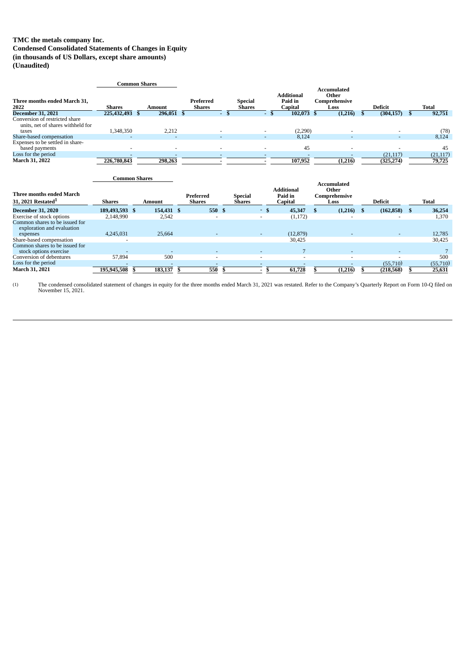# **TMC the metals company Inc.**

**Condensed Consolidated Statements of Changes in Equity (in thousands of US Dollars, except share amounts)**

**(Unaudited)**

|                                                                              |                      | <b>Common Shares</b>     |                            |                                |        |                                         |                                                      |                          |           |
|------------------------------------------------------------------------------|----------------------|--------------------------|----------------------------|--------------------------------|--------|-----------------------------------------|------------------------------------------------------|--------------------------|-----------|
| Three months ended March 31,<br>2022                                         | <b>Shares</b>        | Amount                   | Preferred<br><b>Shares</b> | Special<br><b>Shares</b>       |        | <b>Additional</b><br>Paid in<br>Capital | <b>Accumulated</b><br>Other<br>Comprehensive<br>Loss | <b>Deficit</b>           | Total     |
| <b>December 31, 2021</b>                                                     | 225,432,493          | 296,051 \$<br>£.         |                            | -S<br>$\overline{\phantom{a}}$ | - \$   | 102,073 \$                              | (1,216)                                              | (304, 157)               | 92,751    |
| Conversion of restricted share<br>units, net of shares withheld for<br>taxes | 1,348,350            | 2,212                    |                            |                                |        | (2,290)                                 |                                                      |                          | (78)      |
| Share-based compensation                                                     |                      |                          |                            | $\overline{\phantom{a}}$       | $\sim$ | 8,124                                   | $\overline{\phantom{a}}$                             | $\overline{\phantom{0}}$ | 8,124     |
| Expenses to be settled in share-<br>based payments                           |                      | $\overline{\phantom{0}}$ |                            |                                |        | 45                                      |                                                      |                          | 45        |
| Loss for the period                                                          |                      |                          |                            |                                |        |                                         |                                                      | (21, 117)                | (21, 117) |
| March 31, 2022                                                               | 226,780,843          | 298,263                  |                            |                                |        | 107,952                                 | (1,216)                                              | (325, 274)               | 79,725    |
|                                                                              | <b>Common Shares</b> |                          |                            |                                |        | <b>Additional</b>                       | <b>Accumulated</b><br>$O$ thar                       |                          |           |

| Three months ended March                                     |                          |            | Preferred                | <b>Special</b> |                          | Additional<br>Paid in | Other<br>Comprehensive |                 |              |
|--------------------------------------------------------------|--------------------------|------------|--------------------------|----------------|--------------------------|-----------------------|------------------------|-----------------|--------------|
| 31, 2021 Restated <sup>1</sup>                               | <b>Shares</b>            | Amount     | <b>Shares</b>            | Shares         |                          | Capital               | Loss                   | <b>Deficit</b>  | <b>Total</b> |
| <b>December 31, 2020</b>                                     | 189,493,593 \$           | 154,431 \$ | 550 \$                   |                | $\sim$<br>-5             | 45,347                | (1,216)                | $(162, 858)$ \$ | 36,254       |
| Exercise of stock options                                    | 2,148,990                | 2,542      |                          |                | $\overline{\phantom{0}}$ | (1, 172)              |                        |                 | 1,370        |
| Common shares to be issued for<br>exploration and evaluation |                          |            |                          |                |                          |                       |                        |                 |              |
| expenses                                                     | 4,245,031                | 25.664     |                          |                | $\sim$                   | (12, 879)             |                        |                 | 12,785       |
| Share-based compensation                                     |                          |            |                          |                |                          | 30,425                |                        |                 | 30,425       |
| Common shares to be issued for                               |                          |            |                          |                |                          |                       |                        |                 |              |
| stock options exercise                                       | $\overline{\phantom{0}}$ |            | $\overline{\phantom{0}}$ |                | $\overline{\phantom{0}}$ |                       |                        |                 |              |
| Conversion of debentures                                     | 57.894                   | 500        |                          |                | $\overline{\phantom{a}}$ |                       |                        |                 | 500          |
| Loss for the period                                          |                          |            |                          |                | $\overline{\phantom{a}}$ |                       |                        | (55,710)        | (55,710)     |
| March 31, 2021                                               | 195,945,508              | 183,137    | 550                      |                | $\overline{\phantom{a}}$ | 61,728                | (1,216)                | (218, 568)      | 25,631       |

(1) The condensed consolidated statement of changes in equity for the three months ended March 31, 2021 was restated. Refer to the Company's Quarterly Report on Form 10-Q filed on November 15, 2021.